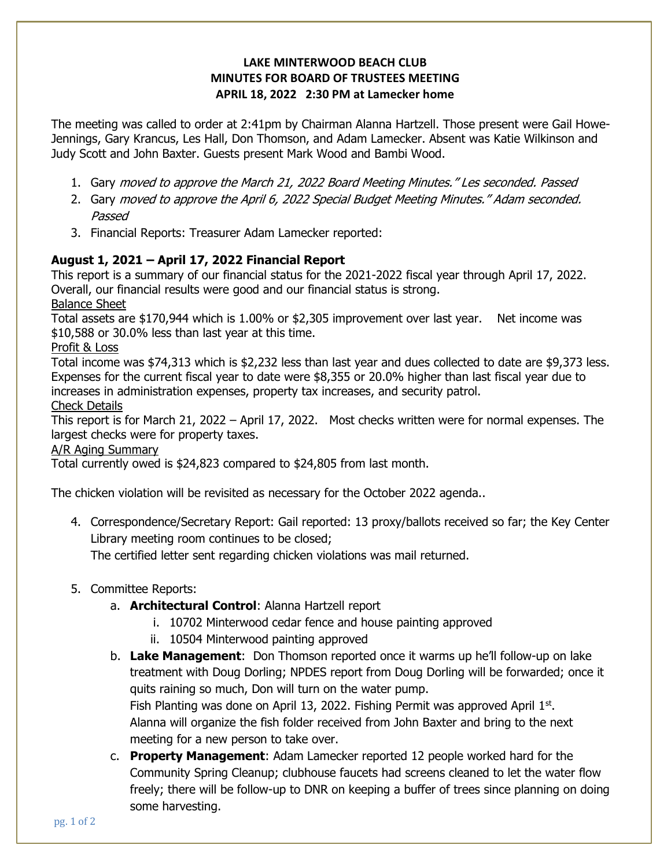## LAKE MINTERWOOD BEACH CLUB MINUTES FOR BOARD OF TRUSTEES MEETING APRIL 18, 2022 2:30 PM at Lamecker home

The meeting was called to order at 2:41pm by Chairman Alanna Hartzell. Those present were Gail Howe-Jennings, Gary Krancus, Les Hall, Don Thomson, and Adam Lamecker. Absent was Katie Wilkinson and Judy Scott and John Baxter. Guests present Mark Wood and Bambi Wood.

- 1. Gary moved to approve the March 21, 2022 Board Meeting Minutes." Les seconded. Passed
- 2. Gary moved to approve the April 6, 2022 Special Budget Meeting Minutes." Adam seconded. Passed
- 3. Financial Reports: Treasurer Adam Lamecker reported:

# August 1, 2021 – April 17, 2022 Financial Report

This report is a summary of our financial status for the 2021-2022 fiscal year through April 17, 2022. Overall, our financial results were good and our financial status is strong.

Balance Sheet

Total assets are \$170,944 which is 1.00% or \$2,305 improvement over last year. Net income was \$10,588 or 30.0% less than last year at this time.

Profit & Loss

Total income was \$74,313 which is \$2,232 less than last year and dues collected to date are \$9,373 less. Expenses for the current fiscal year to date were \$8,355 or 20.0% higher than last fiscal year due to increases in administration expenses, property tax increases, and security patrol.

Check Details

This report is for March 21, 2022 – April 17, 2022. Most checks written were for normal expenses. The largest checks were for property taxes.

## A/R Aging Summary

Total currently owed is \$24,823 compared to \$24,805 from last month.

The chicken violation will be revisited as necessary for the October 2022 agenda..

4. Correspondence/Secretary Report: Gail reported: 13 proxy/ballots received so far; the Key Center Library meeting room continues to be closed;

The certified letter sent regarding chicken violations was mail returned.

## 5. Committee Reports:

- a. Architectural Control: Alanna Hartzell report
	- i. 10702 Minterwood cedar fence and house painting approved
	- ii. 10504 Minterwood painting approved
- b. Lake Management: Don Thomson reported once it warms up he'll follow-up on lake treatment with Doug Dorling; NPDES report from Doug Dorling will be forwarded; once it quits raining so much, Don will turn on the water pump. Fish Planting was done on April 13, 2022. Fishing Permit was approved April  $1<sup>st</sup>$ . Alanna will organize the fish folder received from John Baxter and bring to the next meeting for a new person to take over.
- c. Property Management: Adam Lamecker reported 12 people worked hard for the Community Spring Cleanup; clubhouse faucets had screens cleaned to let the water flow freely; there will be follow-up to DNR on keeping a buffer of trees since planning on doing some harvesting.